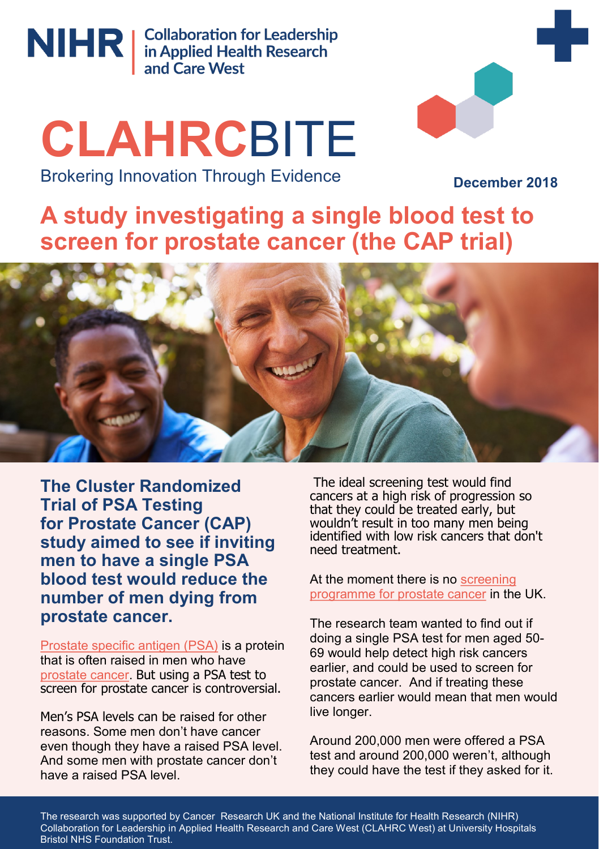

NIHR | Collaboration for Leadership<br>
and Care West

# **CLAHRC**BITE Brokering Innovation Through Evidence



**December 2018**

**A study investigating a single blood test to screen for prostate cancer (the CAP trial)**



**The Cluster Randomized Trial of PSA Testing for Prostate Cancer (CAP) study aimed to see if inviting men to have a single PSA blood test would reduce the number of men dying from prostate cancer.** 

[Prostate specific antigen \(PSA\)](http://www.cancerresearchuk.org/about-cancer/prostate-cancer/getting-diagnosed/prostate-specific-antigen-psa-test) is a protein that is often raised in men who have [prostate cancer.](http://www.cancerresearchuk.org/about-cancer/prostate-cancer) But using a PSA test to screen for prostate cancer is controversial.

Men's PSA levels can be raised for other reasons. Some men don't have cancer even though they have a raised PSA level. And some men with prostate cancer don't have a raised PSA level

The ideal screening test would find cancers at a high risk of progression so that they could be treated early, but wouldn't result in too many men being identified with low risk cancers that don't need treatment.

At the moment there is no screening [programme for prostate cancer](http://www.cancerresearchuk.org/about-cancer/prostate-cancer/getting-diagnosed/screening) in the UK.

The research team wanted to find out if doing a single PSA test for men aged 50- 69 would help detect high risk cancers earlier, and could be used to screen for prostate cancer. And if treating these cancers earlier would mean that men would live longer.

Around 200,000 men were offered a PSA test and around 200,000 weren't, although they could have the test if they asked for it.

The research was supported by Cancer Research UK and the National Institute for Health Research (NIHR) Collaboration for Leadership in Applied Health Research and Care West (CLAHRC West) at University Hospitals Bristol NHS Foundation Trust.